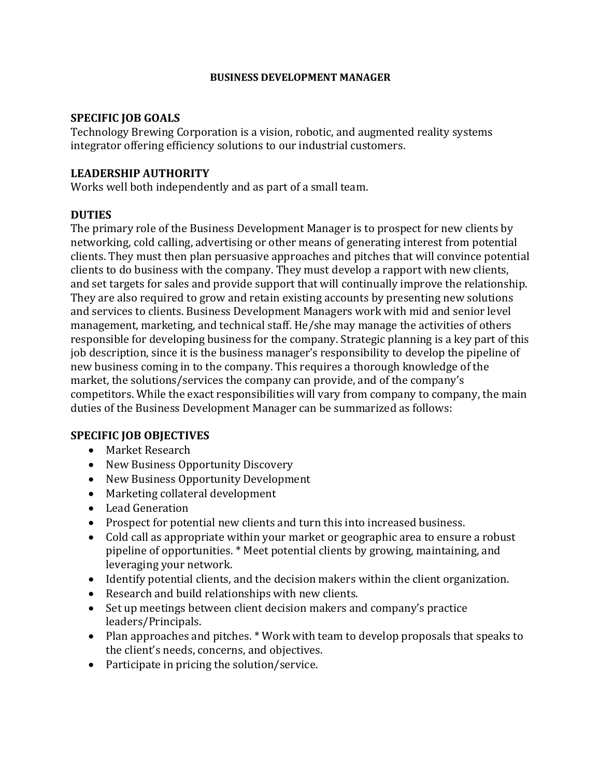#### **BUSINESS DEVELOPMENT MANAGER**

#### **SPECIFIC JOB GOALS**

Technology Brewing Corporation is a vision, robotic, and augmented reality systems integrator offering efficiency solutions to our industrial customers.

#### **LEADERSHIP AUTHORITY**

Works well both independently and as part of a small team.

#### **DUTIES**

The primary role of the Business Development Manager is to prospect for new clients by networking, cold calling, advertising or other means of generating interest from potential clients. They must then plan persuasive approaches and pitches that will convince potential clients to do business with the company. They must develop a rapport with new clients, and set targets for sales and provide support that will continually improve the relationship. They are also required to grow and retain existing accounts by presenting new solutions and services to clients. Business Development Managers work with mid and senior level management, marketing, and technical staff. He/she may manage the activities of others responsible for developing business for the company. Strategic planning is a key part of this job description, since it is the business manager's responsibility to develop the pipeline of new business coming in to the company. This requires a thorough knowledge of the market, the solutions/services the company can provide, and of the company's competitors. While the exact responsibilities will vary from company to company, the main duties of the Business Development Manager can be summarized as follows:

#### **SPECIFIC JOB OBJECTIVES**

- Market Research
- New Business Opportunity Discovery
- New Business Opportunity Development
- Marketing collateral development
- Lead Generation
- Prospect for potential new clients and turn this into increased business.
- Cold call as appropriate within your market or geographic area to ensure a robust pipeline of opportunities. \* Meet potential clients by growing, maintaining, and leveraging your network.
- Identify potential clients, and the decision makers within the client organization.
- Research and build relationships with new clients.
- Set up meetings between client decision makers and company's practice leaders/Principals.
- Plan approaches and pitches. \* Work with team to develop proposals that speaks to the client's needs, concerns, and objectives.
- Participate in pricing the solution/service.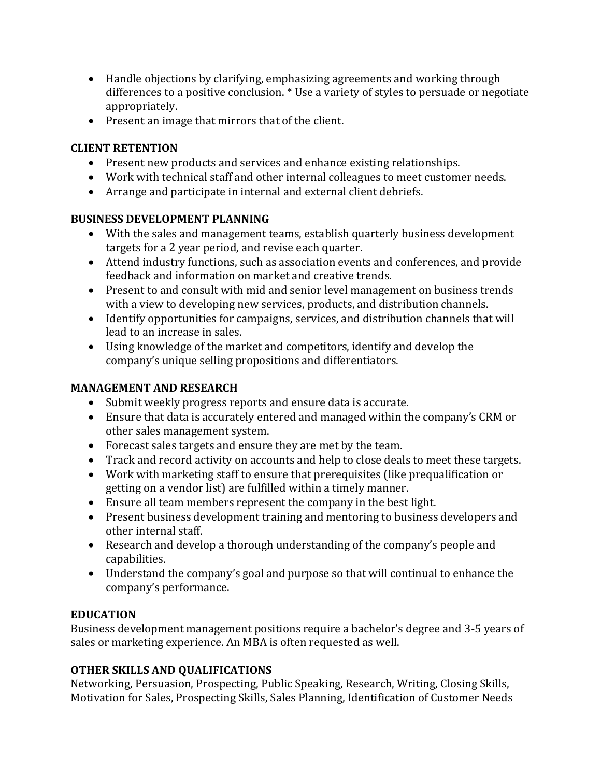- Handle objections by clarifying, emphasizing agreements and working through differences to a positive conclusion. \* Use a variety of styles to persuade or negotiate appropriately.
- Present an image that mirrors that of the client.

### **CLIENT RETENTION**

- Present new products and services and enhance existing relationships.
- Work with technical staff and other internal colleagues to meet customer needs.
- Arrange and participate in internal and external client debriefs.

## **BUSINESS DEVELOPMENT PLANNING**

- With the sales and management teams, establish quarterly business development targets for a 2 year period, and revise each quarter.
- Attend industry functions, such as association events and conferences, and provide feedback and information on market and creative trends.
- Present to and consult with mid and senior level management on business trends with a view to developing new services, products, and distribution channels.
- Identify opportunities for campaigns, services, and distribution channels that will lead to an increase in sales.
- Using knowledge of the market and competitors, identify and develop the company's unique selling propositions and differentiators.

## **MANAGEMENT AND RESEARCH**

- Submit weekly progress reports and ensure data is accurate.
- Ensure that data is accurately entered and managed within the company's CRM or other sales management system.
- Forecast sales targets and ensure they are met by the team.
- Track and record activity on accounts and help to close deals to meet these targets.
- Work with marketing staff to ensure that prerequisites (like prequalification or getting on a vendor list) are fulfilled within a timely manner.
- Ensure all team members represent the company in the best light.
- Present business development training and mentoring to business developers and other internal staff.
- Research and develop a thorough understanding of the company's people and capabilities.
- Understand the company's goal and purpose so that will continual to enhance the company's performance.

# **EDUCATION**

Business development management positions require a bachelor's degree and 3-5 years of sales or marketing experience. An MBA is often requested as well.

# **OTHER SKILLS AND QUALIFICATIONS**

Networking, Persuasion, Prospecting, Public Speaking, Research, Writing, Closing Skills, Motivation for Sales, Prospecting Skills, Sales Planning, Identification of Customer Needs